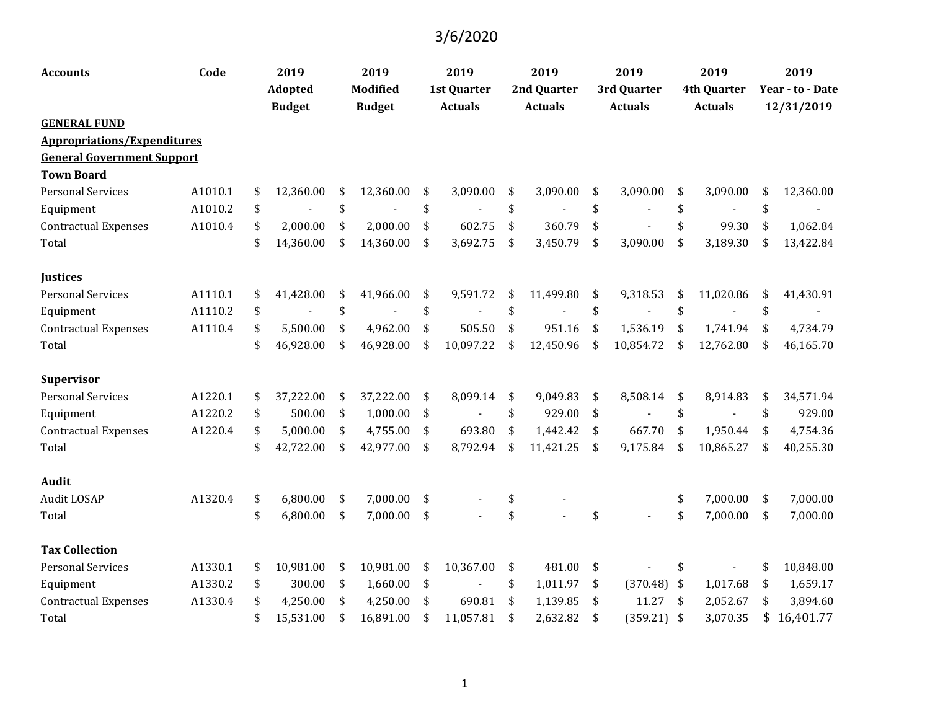| <b>Accounts</b>                    | Code    | 2019            | 2019            | 2019               | 2019            | 2019                |     | 2019               | 2019             |
|------------------------------------|---------|-----------------|-----------------|--------------------|-----------------|---------------------|-----|--------------------|------------------|
|                                    |         | <b>Adopted</b>  | <b>Modified</b> | <b>1st Quarter</b> | 2nd Quarter     | 3rd Quarter         |     | <b>4th Quarter</b> | Year - to - Date |
|                                    |         | <b>Budget</b>   | <b>Budget</b>   | <b>Actuals</b>     | <b>Actuals</b>  | <b>Actuals</b>      |     | <b>Actuals</b>     | 12/31/2019       |
| <b>GENERAL FUND</b>                |         |                 |                 |                    |                 |                     |     |                    |                  |
| <b>Appropriations/Expenditures</b> |         |                 |                 |                    |                 |                     |     |                    |                  |
| <b>General Government Support</b>  |         |                 |                 |                    |                 |                     |     |                    |                  |
| <b>Town Board</b>                  |         |                 |                 |                    |                 |                     |     |                    |                  |
| <b>Personal Services</b>           | A1010.1 | \$<br>12,360.00 | \$<br>12,360.00 | \$<br>3,090.00     | \$<br>3,090.00  | \$<br>3,090.00      | \$  | 3,090.00           | \$<br>12,360.00  |
| Equipment                          | A1010.2 | \$              | \$              | \$                 | \$              | \$                  | \$  |                    | \$               |
| <b>Contractual Expenses</b>        | A1010.4 | \$<br>2,000.00  | \$<br>2,000.00  | \$<br>602.75       | \$<br>360.79    | \$                  | \$  | 99.30              | \$<br>1,062.84   |
| Total                              |         | \$<br>14,360.00 | \$<br>14,360.00 | \$<br>3,692.75     | \$<br>3,450.79  | \$<br>3,090.00      | \$  | 3,189.30           | \$<br>13,422.84  |
| <b>Justices</b>                    |         |                 |                 |                    |                 |                     |     |                    |                  |
| <b>Personal Services</b>           | A1110.1 | \$<br>41,428.00 | \$<br>41,966.00 | \$<br>9,591.72     | \$<br>11,499.80 | \$<br>9,318.53      | \$  | 11,020.86          | \$<br>41,430.91  |
| Equipment                          | A1110.2 | \$              | \$              | \$                 | \$              | \$                  | \$  |                    | \$               |
| <b>Contractual Expenses</b>        | A1110.4 | \$<br>5,500.00  | \$<br>4,962.00  | \$<br>505.50       | \$<br>951.16    | \$<br>1,536.19      | \$  | 1,741.94           | \$<br>4,734.79   |
| Total                              |         | \$<br>46,928.00 | \$<br>46,928.00 | \$<br>10,097.22    | \$<br>12,450.96 | \$<br>10,854.72     | \$  | 12,762.80          | \$<br>46,165.70  |
| <b>Supervisor</b>                  |         |                 |                 |                    |                 |                     |     |                    |                  |
| <b>Personal Services</b>           | A1220.1 | \$<br>37,222.00 | \$<br>37,222.00 | \$<br>8,099.14     | \$<br>9,049.83  | \$<br>8,508.14      | \$  | 8,914.83           | \$<br>34,571.94  |
| Equipment                          | A1220.2 | \$<br>500.00    | \$<br>1,000.00  | \$                 | \$<br>929.00    | \$                  | \$  |                    | \$<br>929.00     |
| <b>Contractual Expenses</b>        | A1220.4 | \$<br>5,000.00  | \$<br>4,755.00  | \$<br>693.80       | \$<br>1,442.42  | \$<br>667.70        | \$  | 1,950.44           | \$<br>4,754.36   |
| Total                              |         | \$<br>42,722.00 | \$<br>42,977.00 | \$<br>8,792.94     | \$<br>11,421.25 | \$<br>9,175.84      | \$  | 10,865.27          | \$<br>40,255.30  |
| Audit                              |         |                 |                 |                    |                 |                     |     |                    |                  |
| Audit LOSAP                        | A1320.4 | \$<br>6,800.00  | \$<br>7,000.00  | \$                 | \$              |                     | \$  | 7,000.00           | \$<br>7,000.00   |
| Total                              |         | \$<br>6,800.00  | \$<br>7,000.00  | \$                 | \$              | \$                  | \$  | 7,000.00           | \$<br>7,000.00   |
| <b>Tax Collection</b>              |         |                 |                 |                    |                 |                     |     |                    |                  |
| <b>Personal Services</b>           | A1330.1 | \$<br>10,981.00 | \$<br>10,981.00 | \$<br>10,367.00    | \$<br>481.00    | \$                  | \$  |                    | \$<br>10,848.00  |
| Equipment                          | A1330.2 | \$<br>300.00    | \$<br>1,660.00  | \$                 | \$<br>1,011.97  | \$<br>(370.48)      | -\$ | 1,017.68           | \$<br>1,659.17   |
| <b>Contractual Expenses</b>        | A1330.4 | \$<br>4,250.00  | \$<br>4,250.00  | \$<br>690.81       | \$<br>1,139.85  | \$<br>11.27         | \$  | 2,052.67           | \$<br>3,894.60   |
| Total                              |         | \$<br>15,531.00 | \$<br>16,891.00 | \$<br>11,057.81    | \$<br>2,632.82  | \$<br>$(359.21)$ \$ |     | 3,070.35           | \$<br>16,401.77  |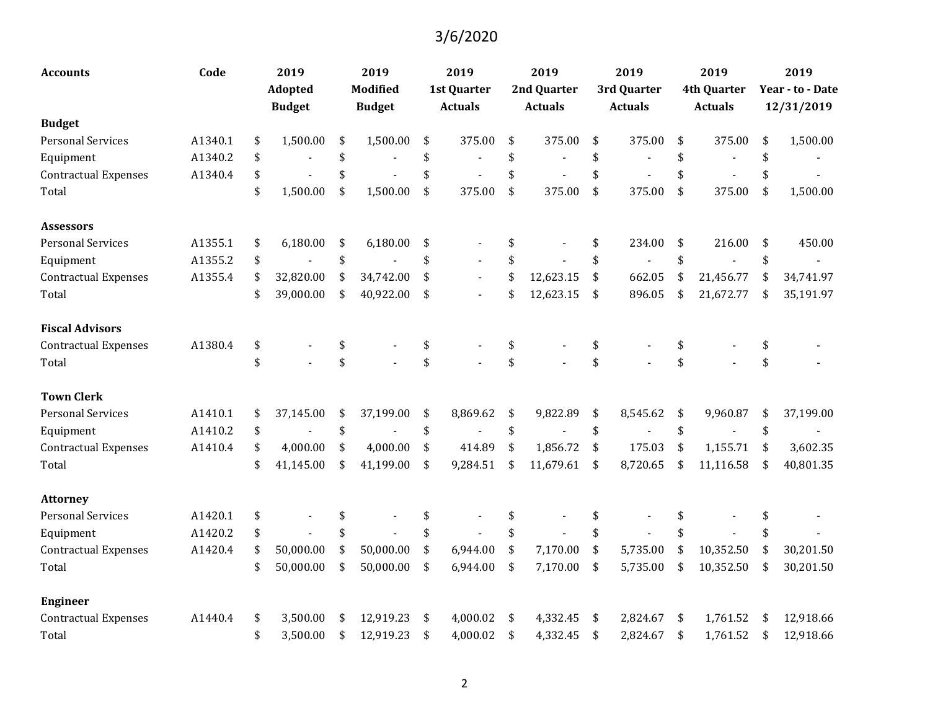| <b>Accounts</b>             | Code    | 2019            | 2019            | 2019                 | 2019            | 2019           | 2019               | 2019             |
|-----------------------------|---------|-----------------|-----------------|----------------------|-----------------|----------------|--------------------|------------------|
|                             |         | <b>Adopted</b>  | <b>Modified</b> | 1st Quarter          | 2nd Quarter     | 3rd Quarter    | <b>4th Quarter</b> | Year - to - Date |
|                             |         | <b>Budget</b>   | <b>Budget</b>   | <b>Actuals</b>       | <b>Actuals</b>  | <b>Actuals</b> | <b>Actuals</b>     | 12/31/2019       |
| <b>Budget</b>               |         |                 |                 |                      |                 |                |                    |                  |
| <b>Personal Services</b>    | A1340.1 | \$<br>1,500.00  | \$<br>1,500.00  | \$<br>375.00         | \$<br>375.00    | \$<br>375.00   | \$<br>375.00       | \$<br>1,500.00   |
| Equipment                   | A1340.2 | \$              | \$              | \$                   | \$              | \$             | \$                 | \$               |
| <b>Contractual Expenses</b> | A1340.4 | \$              | \$              | \$                   | \$              | \$             | \$                 | \$               |
| Total                       |         | \$<br>1,500.00  | \$<br>1,500.00  | \$<br>375.00         | \$<br>375.00    | \$<br>375.00   | \$<br>375.00       | \$<br>1,500.00   |
| <b>Assessors</b>            |         |                 |                 |                      |                 |                |                    |                  |
| <b>Personal Services</b>    | A1355.1 | \$<br>6,180.00  | \$<br>6,180.00  | \$                   | \$              | \$<br>234.00   | \$<br>216.00       | \$<br>450.00     |
| Equipment                   | A1355.2 | \$              | \$              | \$                   | \$              | \$             | \$                 | \$               |
| <b>Contractual Expenses</b> | A1355.4 | \$<br>32,820.00 | \$<br>34,742.00 | \$<br>$\blacksquare$ | \$<br>12,623.15 | \$<br>662.05   | \$<br>21,456.77    | \$<br>34,741.97  |
| Total                       |         | \$<br>39,000.00 | \$<br>40,922.00 | \$<br>$\blacksquare$ | \$<br>12,623.15 | \$<br>896.05   | \$<br>21,672.77    | \$<br>35,191.97  |
| <b>Fiscal Advisors</b>      |         |                 |                 |                      |                 |                |                    |                  |
| <b>Contractual Expenses</b> | A1380.4 | \$              | \$              | \$                   | \$              | \$             | \$                 | \$               |
| Total                       |         | \$              | \$              | \$                   | \$              | \$             | \$                 | \$               |
| <b>Town Clerk</b>           |         |                 |                 |                      |                 |                |                    |                  |
| <b>Personal Services</b>    | A1410.1 | \$<br>37,145.00 | \$<br>37,199.00 | \$<br>8,869.62       | \$<br>9,822.89  | \$<br>8,545.62 | \$<br>9,960.87     | \$<br>37,199.00  |
| Equipment                   | A1410.2 | \$              | \$              | \$                   | \$              | \$             | \$                 | \$               |
| <b>Contractual Expenses</b> | A1410.4 | \$<br>4,000.00  | \$<br>4,000.00  | \$<br>414.89         | \$<br>1,856.72  | \$<br>175.03   | \$<br>1,155.71     | \$<br>3,602.35   |
| Total                       |         | \$<br>41,145.00 | \$<br>41,199.00 | \$<br>9,284.51       | \$<br>11,679.61 | \$<br>8,720.65 | \$<br>11,116.58    | \$<br>40,801.35  |
| <b>Attorney</b>             |         |                 |                 |                      |                 |                |                    |                  |
| <b>Personal Services</b>    | A1420.1 | \$              |                 |                      |                 | \$             | \$                 | \$               |
| Equipment                   | A1420.2 | \$              | \$              | \$                   | \$              | \$             | \$                 | \$               |
| <b>Contractual Expenses</b> | A1420.4 | \$<br>50,000.00 | \$<br>50,000.00 | \$<br>6,944.00       | \$<br>7,170.00  | \$<br>5,735.00 | \$<br>10,352.50    | \$<br>30,201.50  |
| Total                       |         | \$<br>50,000.00 | \$<br>50,000.00 | \$<br>6,944.00       | \$<br>7,170.00  | \$<br>5,735.00 | \$<br>10,352.50    | \$<br>30,201.50  |
| <b>Engineer</b>             |         |                 |                 |                      |                 |                |                    |                  |
| <b>Contractual Expenses</b> | A1440.4 | \$<br>3,500.00  | \$<br>12,919.23 | \$<br>4,000.02       | \$<br>4,332.45  | \$<br>2,824.67 | \$<br>1,761.52     | \$<br>12,918.66  |
| Total                       |         | \$<br>3,500.00  | \$<br>12,919.23 | \$<br>4,000.02       | \$<br>4,332.45  | \$<br>2,824.67 | \$<br>1,761.52     | \$<br>12,918.66  |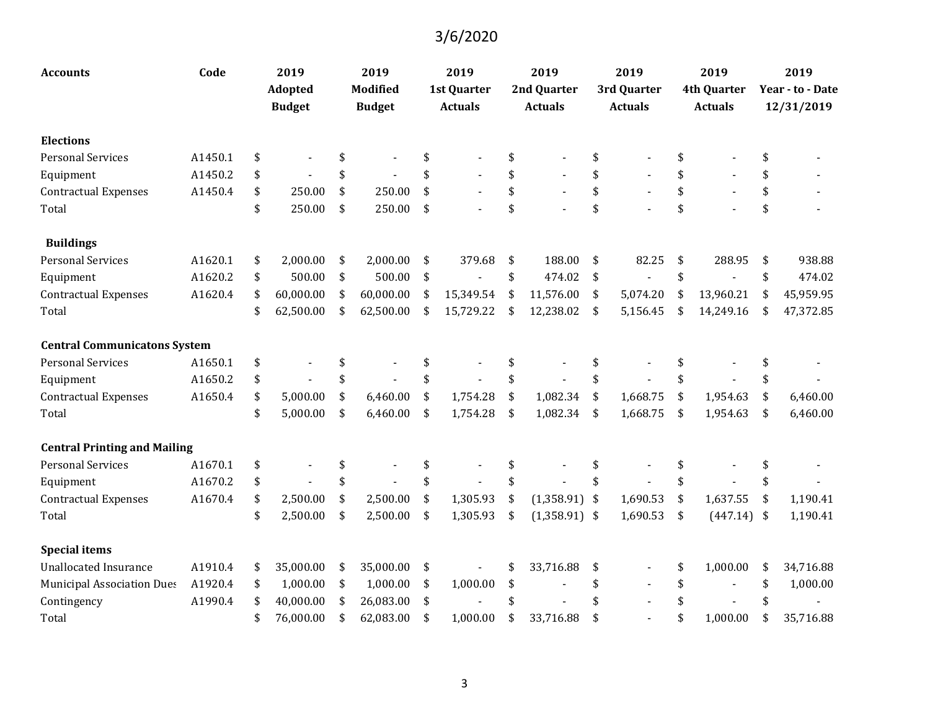| Accounts                            | Code    | 2019            | 2019            | 2019               | 2019                  | 2019           |     | 2019               | 2019             |
|-------------------------------------|---------|-----------------|-----------------|--------------------|-----------------------|----------------|-----|--------------------|------------------|
|                                     |         | <b>Adopted</b>  | <b>Modified</b> | <b>1st Quarter</b> | 2nd Quarter           | 3rd Quarter    |     | <b>4th Quarter</b> | Year - to - Date |
|                                     |         | <b>Budget</b>   | <b>Budget</b>   | <b>Actuals</b>     | <b>Actuals</b>        | <b>Actuals</b> |     | <b>Actuals</b>     | 12/31/2019       |
| <b>Elections</b>                    |         |                 |                 |                    |                       |                |     |                    |                  |
| <b>Personal Services</b>            | A1450.1 | \$              | \$              |                    | \$                    | \$             | \$  |                    | \$               |
| Equipment                           | A1450.2 | \$              | \$              |                    | \$                    | \$             | \$  |                    | \$               |
| <b>Contractual Expenses</b>         | A1450.4 | \$<br>250.00    | \$<br>250.00    | \$                 | \$                    | \$             | \$  |                    | \$               |
| Total                               |         | \$<br>250.00    | \$<br>250.00    | \$                 | \$                    | \$             | \$  |                    | \$               |
| <b>Buildings</b>                    |         |                 |                 |                    |                       |                |     |                    |                  |
| <b>Personal Services</b>            | A1620.1 | \$<br>2,000.00  | \$<br>2,000.00  | \$<br>379.68       | \$<br>188.00          | \$<br>82.25    | \$  | 288.95             | \$<br>938.88     |
| Equipment                           | A1620.2 | \$<br>500.00    | \$<br>500.00    | \$                 | \$<br>474.02          | \$             | \$  |                    | \$<br>474.02     |
| <b>Contractual Expenses</b>         | A1620.4 | \$<br>60,000.00 | \$<br>60,000.00 | \$<br>15,349.54    | \$<br>11,576.00       | \$<br>5,074.20 | \$  | 13,960.21          | \$<br>45,959.95  |
| Total                               |         | \$<br>62,500.00 | \$<br>62,500.00 | \$<br>15,729.22    | \$<br>12,238.02       | \$<br>5,156.45 | -\$ | 14,249.16          | \$<br>47,372.85  |
| <b>Central Communicatons System</b> |         |                 |                 |                    |                       |                |     |                    |                  |
| <b>Personal Services</b>            | A1650.1 | \$              | \$              | \$                 | \$                    | \$             | \$  |                    | \$               |
| Equipment                           | A1650.2 | \$              | \$              | \$                 | \$                    | \$             | \$  |                    | \$               |
| <b>Contractual Expenses</b>         | A1650.4 | \$<br>5,000.00  | \$<br>6,460.00  | \$<br>1,754.28     | \$<br>1,082.34        | \$<br>1,668.75 | \$  | 1,954.63           | \$<br>6,460.00   |
| Total                               |         | \$<br>5,000.00  | \$<br>6,460.00  | \$<br>1,754.28     | \$<br>1,082.34        | \$<br>1,668.75 | \$  | 1,954.63           | \$<br>6,460.00   |
| <b>Central Printing and Mailing</b> |         |                 |                 |                    |                       |                |     |                    |                  |
| <b>Personal Services</b>            | A1670.1 | \$              | \$              |                    | \$                    | \$             | \$  |                    | \$               |
| Equipment                           | A1670.2 | \$              | \$              |                    | \$                    | \$             | \$  |                    | \$               |
| <b>Contractual Expenses</b>         | A1670.4 | \$<br>2,500.00  | \$<br>2,500.00  | \$<br>1,305.93     | \$<br>$(1,358.91)$ \$ | 1,690.53       | \$  | 1,637.55           | \$<br>1,190.41   |
| Total                               |         | \$<br>2,500.00  | \$<br>2,500.00  | \$<br>1,305.93     | \$<br>$(1,358.91)$ \$ | 1,690.53       | \$  | $(447.14)$ \$      | 1,190.41         |
| <b>Special items</b>                |         |                 |                 |                    |                       |                |     |                    |                  |
| <b>Unallocated Insurance</b>        | A1910.4 | \$<br>35,000.00 | \$<br>35,000.00 | \$                 | \$<br>33,716.88       | \$             | \$  | 1,000.00           | \$<br>34,716.88  |
| <b>Municipal Association Dues</b>   | A1920.4 | \$<br>1,000.00  | \$<br>1,000.00  | \$<br>1,000.00     | \$                    | \$             | \$  |                    | \$<br>1,000.00   |
| Contingency                         | A1990.4 | \$<br>40,000.00 | \$<br>26,083.00 | \$                 |                       |                | \$  |                    |                  |
| Total                               |         | \$<br>76,000.00 | \$<br>62,083.00 | \$<br>1,000.00     | \$<br>33,716.88       | \$             | \$  | 1,000.00           | \$<br>35,716.88  |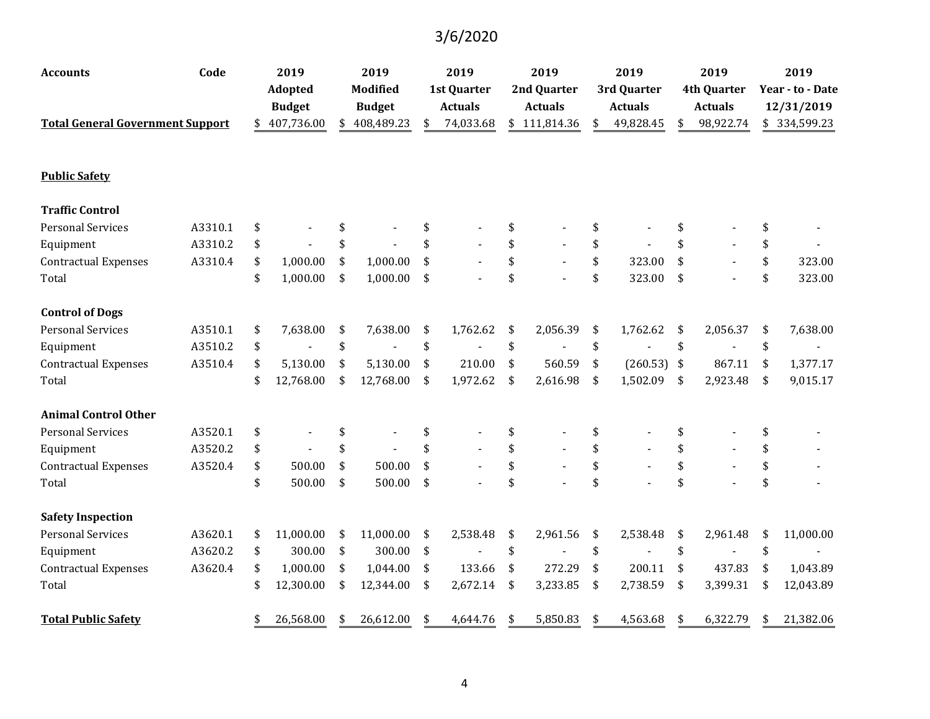| <b>Accounts</b>                         | Code    | 2019            | 2019            | 2019               | 2019           | 2019                | 2019               | 2019                 |
|-----------------------------------------|---------|-----------------|-----------------|--------------------|----------------|---------------------|--------------------|----------------------|
|                                         |         | Adopted         | <b>Modified</b> | <b>1st Quarter</b> | 2nd Quarter    | 3rd Quarter         | <b>4th Quarter</b> | Year - to - Date     |
|                                         |         | <b>Budget</b>   | <b>Budget</b>   | <b>Actuals</b>     | <b>Actuals</b> | <b>Actuals</b>      | <b>Actuals</b>     | 12/31/2019           |
| <b>Total General Government Support</b> |         | 407,736.00      | 408,489.23      | \$<br>74,033.68    | \$111,814.36   | \$<br>49,828.45     | \$<br>98,922.74    | \$334,599.23         |
| <b>Public Safety</b>                    |         |                 |                 |                    |                |                     |                    |                      |
| <b>Traffic Control</b>                  |         |                 |                 |                    |                |                     |                    |                      |
| <b>Personal Services</b>                | A3310.1 | \$              | \$              | \$                 | \$             | \$                  | \$                 | \$                   |
| Equipment                               | A3310.2 | \$              | \$              | \$                 | \$             | \$                  | \$                 | \$                   |
| <b>Contractual Expenses</b>             | A3310.4 | \$<br>1,000.00  | \$<br>1,000.00  | \$                 | \$             | \$<br>323.00        | \$                 | \$<br>323.00         |
| Total                                   |         | \$<br>1,000.00  | \$<br>1,000.00  | \$                 | \$             | \$<br>323.00        | \$                 | \$<br>323.00         |
| <b>Control of Dogs</b>                  |         |                 |                 |                    |                |                     |                    |                      |
| <b>Personal Services</b>                | A3510.1 | \$<br>7,638.00  | \$<br>7,638.00  | \$<br>1,762.62     | \$<br>2,056.39 | \$<br>1,762.62      | \$<br>2,056.37     | \$<br>7,638.00       |
| Equipment                               | A3510.2 | \$              | \$              | \$                 | \$             | \$                  | \$                 | \$                   |
| <b>Contractual Expenses</b>             | A3510.4 | \$<br>5,130.00  | \$<br>5,130.00  | \$<br>210.00       | \$<br>560.59   | \$<br>$(260.53)$ \$ | 867.11             | \$<br>1,377.17       |
| Total                                   |         | \$<br>12,768.00 | \$<br>12,768.00 | \$<br>1,972.62     | \$<br>2,616.98 | \$<br>1,502.09      | \$<br>2,923.48     | \$<br>9,015.17       |
| <b>Animal Control Other</b>             |         |                 |                 |                    |                |                     |                    |                      |
| <b>Personal Services</b>                | A3520.1 | \$              | \$              | \$                 | \$             | \$                  | \$                 | \$                   |
| Equipment                               | A3520.2 | \$              | \$              | \$                 | \$             | \$                  | \$                 | \$                   |
| <b>Contractual Expenses</b>             | A3520.4 | \$<br>500.00    | \$<br>500.00    | \$                 | \$             | \$                  | \$                 | \$                   |
| Total                                   |         | \$<br>500.00    | \$<br>500.00    | \$                 | \$             | \$                  | \$                 | \$                   |
| <b>Safety Inspection</b>                |         |                 |                 |                    |                |                     |                    |                      |
| <b>Personal Services</b>                | A3620.1 | \$<br>11,000.00 | \$<br>11,000.00 | \$<br>2,538.48     | \$<br>2,961.56 | \$<br>2,538.48      | \$<br>2,961.48     | \$<br>11,000.00      |
| Equipment                               | A3620.2 | \$<br>300.00    | \$<br>300.00    | \$                 | \$             | \$                  | \$                 | \$<br>$\blacksquare$ |
| <b>Contractual Expenses</b>             | A3620.4 | \$<br>1,000.00  | \$<br>1,044.00  | \$<br>133.66       | \$<br>272.29   | \$<br>200.11        | \$<br>437.83       | \$<br>1,043.89       |
| Total                                   |         | \$<br>12,300.00 | \$<br>12,344.00 | \$<br>2,672.14     | \$<br>3,233.85 | \$<br>2,738.59      | \$<br>3,399.31     | \$<br>12,043.89      |
| <b>Total Public Safety</b>              |         | \$<br>26,568.00 | \$<br>26,612.00 | \$<br>4,644.76     | \$<br>5,850.83 | \$<br>4,563.68      | \$<br>6,322.79     | \$<br>21,382.06      |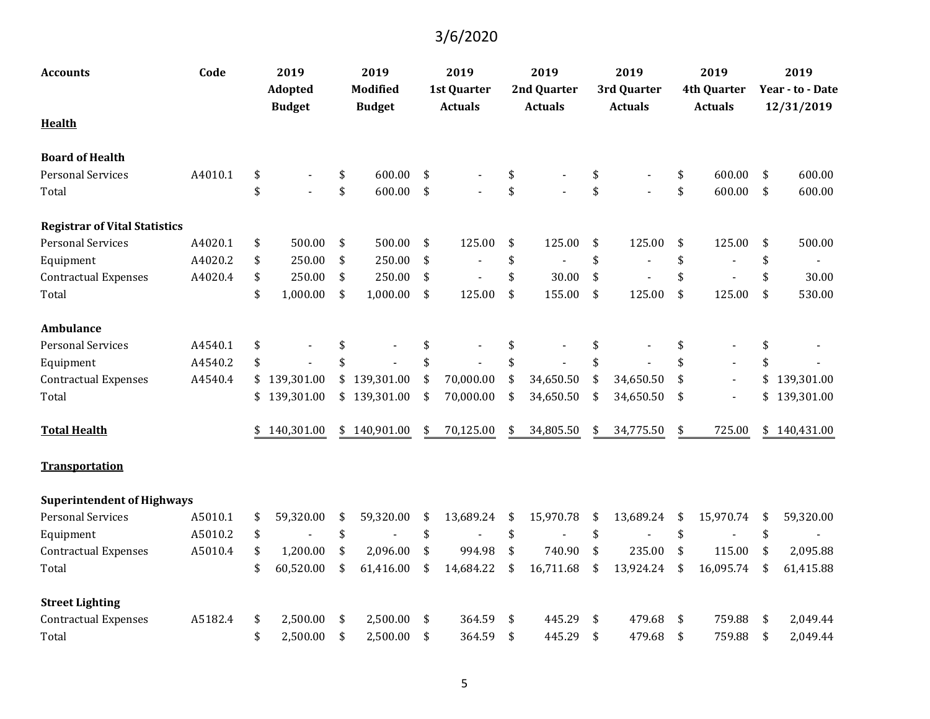| <b>Accounts</b>                      | Code    | 2019             | 2019             | 2019               | 2019            | 2019            | 2019                 | 2019             |
|--------------------------------------|---------|------------------|------------------|--------------------|-----------------|-----------------|----------------------|------------------|
|                                      |         | Adopted          | <b>Modified</b>  | <b>1st Quarter</b> | 2nd Quarter     | 3rd Quarter     | <b>4th Quarter</b>   | Year - to - Date |
|                                      |         | <b>Budget</b>    | <b>Budget</b>    | <b>Actuals</b>     | <b>Actuals</b>  | <b>Actuals</b>  | <b>Actuals</b>       | 12/31/2019       |
| <b>Health</b>                        |         |                  |                  |                    |                 |                 |                      |                  |
| <b>Board of Health</b>               |         |                  |                  |                    |                 |                 |                      |                  |
| <b>Personal Services</b>             | A4010.1 | \$               | \$<br>600.00     | \$                 | \$              | \$              | \$<br>600.00         | \$<br>600.00     |
| Total                                |         | \$               | \$<br>600.00     | \$                 | \$              | \$              | \$<br>600.00         | \$<br>600.00     |
| <b>Registrar of Vital Statistics</b> |         |                  |                  |                    |                 |                 |                      |                  |
| <b>Personal Services</b>             | A4020.1 | \$<br>500.00     | \$<br>500.00     | \$<br>125.00       | \$<br>125.00    | \$<br>125.00    | \$<br>125.00         | \$<br>500.00     |
| Equipment                            | A4020.2 | \$<br>250.00     | \$<br>250.00     | \$                 | \$              | \$              | \$                   | \$               |
| <b>Contractual Expenses</b>          | A4020.4 | \$<br>250.00     | \$<br>250.00     | \$                 | \$<br>30.00     | \$              | \$                   | \$<br>30.00      |
| Total                                |         | \$<br>1,000.00   | \$<br>1,000.00   | \$<br>125.00       | \$<br>155.00    | \$<br>125.00    | \$<br>125.00         | \$<br>530.00     |
| <b>Ambulance</b>                     |         |                  |                  |                    |                 |                 |                      |                  |
| <b>Personal Services</b>             | A4540.1 | \$               |                  | \$                 | \$              | \$              | \$                   | \$               |
| Equipment                            | A4540.2 | \$               |                  | \$                 | \$              | \$              | \$                   | \$               |
| <b>Contractual Expenses</b>          | A4540.4 | \$<br>139,301.00 | \$<br>139,301.00 | \$<br>70,000.00    | \$<br>34,650.50 | \$<br>34,650.50 | \$<br>$\sim$         | \$<br>139,301.00 |
| Total                                |         | \$<br>139,301.00 | \$139,301.00     | \$<br>70,000.00    | \$<br>34,650.50 | \$<br>34,650.50 | \$<br>$\blacksquare$ | \$<br>139,301.00 |
| <b>Total Health</b>                  |         | 140,301.00       | \$<br>140,901.00 | \$<br>70,125.00    | \$<br>34,805.50 | \$<br>34,775.50 | \$<br>725.00         | \$140,431.00     |
| <b>Transportation</b>                |         |                  |                  |                    |                 |                 |                      |                  |
| <b>Superintendent of Highways</b>    |         |                  |                  |                    |                 |                 |                      |                  |
| <b>Personal Services</b>             | A5010.1 | \$<br>59,320.00  | \$<br>59,320.00  | \$<br>13,689.24    | \$<br>15,970.78 | \$<br>13,689.24 | \$<br>15,970.74      | \$<br>59,320.00  |
| Equipment                            | A5010.2 | \$               | \$               | \$                 | \$              | \$              | \$                   | \$               |
| <b>Contractual Expenses</b>          | A5010.4 | \$<br>1,200.00   | \$<br>2,096.00   | \$<br>994.98       | \$<br>740.90    | \$<br>235.00    | \$<br>115.00         | \$<br>2,095.88   |
| Total                                |         | \$<br>60,520.00  | \$<br>61,416.00  | \$<br>14,684.22    | \$<br>16,711.68 | \$<br>13,924.24 | \$<br>16,095.74      | \$<br>61,415.88  |
| <b>Street Lighting</b>               |         |                  |                  |                    |                 |                 |                      |                  |
| <b>Contractual Expenses</b>          | A5182.4 | \$<br>2,500.00   | \$<br>2,500.00   | \$<br>364.59       | \$<br>445.29    | \$<br>479.68    | \$<br>759.88         | \$<br>2,049.44   |
| Total                                |         | \$<br>2,500.00   | \$<br>2,500.00   | \$<br>364.59       | \$<br>445.29    | \$<br>479.68    | \$<br>759.88         | \$<br>2,049.44   |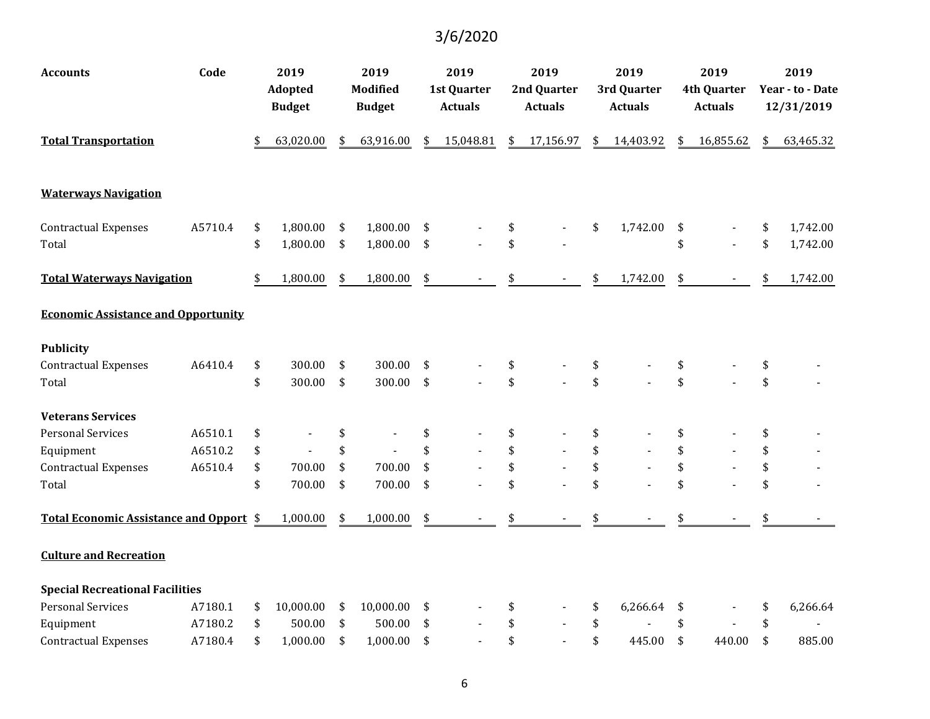| <b>Accounts</b>                            | Code    | 2019            | 2019            | 2019            | 2019            | 2019            | 2019               | 2019             |
|--------------------------------------------|---------|-----------------|-----------------|-----------------|-----------------|-----------------|--------------------|------------------|
|                                            |         | Adopted         | <b>Modified</b> | 1st Quarter     | 2nd Quarter     | 3rd Quarter     | <b>4th Quarter</b> | Year - to - Date |
|                                            |         | <b>Budget</b>   | <b>Budget</b>   | <b>Actuals</b>  | <b>Actuals</b>  | <b>Actuals</b>  | <b>Actuals</b>     | 12/31/2019       |
| <b>Total Transportation</b>                |         | \$<br>63,020.00 | \$<br>63,916.00 | \$<br>15,048.81 | \$<br>17,156.97 | \$<br>14,403.92 | \$<br>16,855.62    | \$<br>63,465.32  |
| <b>Waterways Navigation</b>                |         |                 |                 |                 |                 |                 |                    |                  |
| <b>Contractual Expenses</b>                | A5710.4 | \$<br>1,800.00  | \$<br>1,800.00  | \$              | \$              | \$<br>1,742.00  | \$                 | \$<br>1,742.00   |
| Total                                      |         | \$<br>1,800.00  | \$<br>1,800.00  | \$              | \$              |                 | \$                 | \$<br>1,742.00   |
| <b>Total Waterways Navigation</b>          |         | \$<br>1,800.00  | \$<br>1,800.00  | \$              |                 | \$<br>1,742.00  | \$                 | \$<br>1,742.00   |
| <b>Economic Assistance and Opportunity</b> |         |                 |                 |                 |                 |                 |                    |                  |
| <b>Publicity</b>                           |         |                 |                 |                 |                 |                 |                    |                  |
| <b>Contractual Expenses</b>                | A6410.4 | \$<br>300.00    | \$<br>300.00    | \$              | \$              | \$              | \$                 | \$               |
| Total                                      |         | \$<br>300.00    | \$<br>300.00    | \$              | \$              | \$              | \$                 | \$               |
| <b>Veterans Services</b>                   |         |                 |                 |                 |                 |                 |                    |                  |
| <b>Personal Services</b>                   | A6510.1 | \$              | \$              | \$              | \$              | \$              | \$                 | \$               |
| Equipment                                  | A6510.2 | \$              | \$              | \$              | \$              | \$              | \$                 | \$               |
| <b>Contractual Expenses</b>                | A6510.4 | \$<br>700.00    | \$<br>700.00    | \$              | \$              | \$              | \$                 | \$               |
| Total                                      |         | \$<br>700.00    | \$<br>700.00    | \$              | \$              | \$              | \$                 | \$               |
| Total Economic Assistance and Opport \$    |         | 1,000.00        | \$<br>1,000.00  | \$              |                 | \$              | \$                 | \$               |
| <b>Culture and Recreation</b>              |         |                 |                 |                 |                 |                 |                    |                  |
| <b>Special Recreational Facilities</b>     |         |                 |                 |                 |                 |                 |                    |                  |
| <b>Personal Services</b>                   | A7180.1 | \$<br>10,000.00 | \$<br>10,000.00 | \$              | \$              | \$<br>6,266.64  | \$                 | \$<br>6,266.64   |
| Equipment                                  | A7180.2 | \$<br>500.00    | \$<br>500.00    | \$              | \$              | \$              | \$                 | \$               |
| <b>Contractual Expenses</b>                | A7180.4 | \$<br>1,000.00  | \$<br>1,000.00  | \$              | \$              | \$<br>445.00    | \$<br>440.00       | \$<br>885.00     |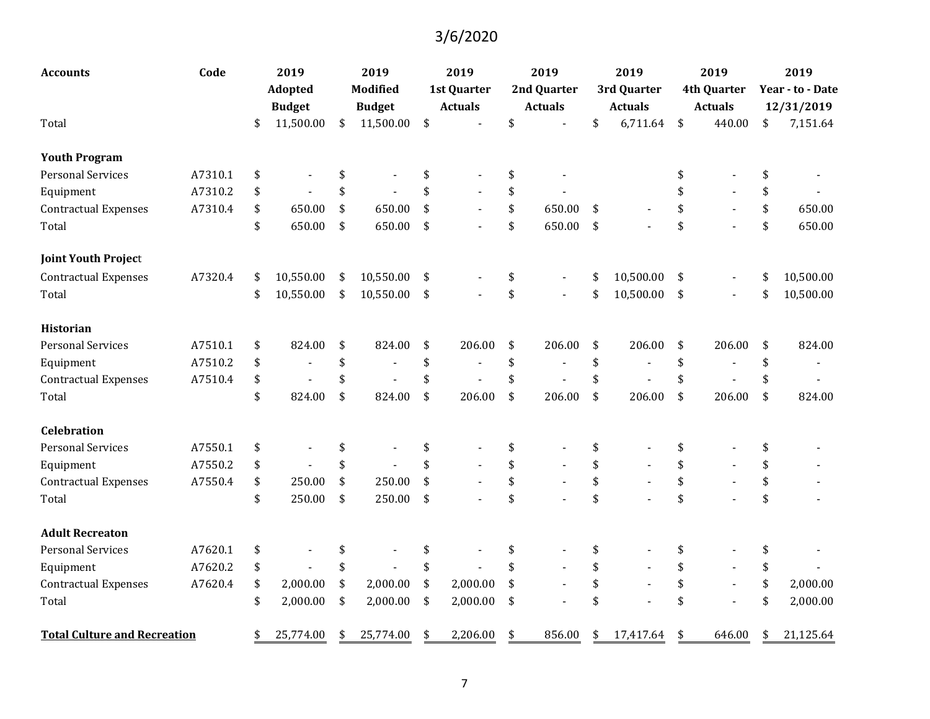| <b>Accounts</b>                     | Code    | 2019            | 2019            | 2019                 | 2019                           |                                 | 2019           | 2019                 | 2019             |
|-------------------------------------|---------|-----------------|-----------------|----------------------|--------------------------------|---------------------------------|----------------|----------------------|------------------|
|                                     |         | Adopted         | <b>Modified</b> | <b>1st Quarter</b>   | 2nd Quarter                    |                                 | 3rd Quarter    | <b>4th Quarter</b>   | Year - to - Date |
|                                     |         | <b>Budget</b>   | <b>Budget</b>   | <b>Actuals</b>       | <b>Actuals</b>                 |                                 | <b>Actuals</b> | <b>Actuals</b>       | 12/31/2019       |
| Total                               |         | \$<br>11,500.00 | \$<br>11,500.00 | \$                   | \$                             | \$                              | 6,711.64       | \$<br>440.00         | \$<br>7,151.64   |
| <b>Youth Program</b>                |         |                 |                 |                      |                                |                                 |                |                      |                  |
| <b>Personal Services</b>            | A7310.1 | \$              |                 | \$                   | \$                             |                                 |                | \$                   | \$               |
| Equipment                           | A7310.2 | \$              | \$              | \$                   | \$                             |                                 |                | \$                   | \$               |
| <b>Contractual Expenses</b>         | A7310.4 | \$<br>650.00    | \$<br>650.00    | \$<br>$\blacksquare$ | \$<br>650.00                   | \$                              |                | \$<br>$\blacksquare$ | \$<br>650.00     |
| Total                               |         | \$<br>650.00    | \$<br>650.00    | \$                   | \$<br>650.00                   | $\boldsymbol{\hat{\mathsf{S}}}$ |                | \$                   | \$<br>650.00     |
| <b>Joint Youth Project</b>          |         |                 |                 |                      |                                |                                 |                |                      |                  |
| <b>Contractual Expenses</b>         | A7320.4 | \$<br>10,550.00 | \$<br>10,550.00 | \$                   | \$<br>$\blacksquare$           | \$                              | 10,500.00      | \$                   | \$<br>10,500.00  |
| Total                               |         | \$<br>10,550.00 | \$<br>10,550.00 | \$                   | \$                             | \$                              | 10,500.00      | \$                   | \$<br>10,500.00  |
| Historian                           |         |                 |                 |                      |                                |                                 |                |                      |                  |
| <b>Personal Services</b>            | A7510.1 | \$<br>824.00    | \$<br>824.00    | \$<br>206.00         | \$<br>206.00                   | \$                              | 206.00         | \$<br>206.00         | \$<br>824.00     |
| Equipment                           | A7510.2 | \$<br>÷         | \$              | \$                   | \$<br>$\overline{\phantom{a}}$ | \$                              |                | \$                   | \$               |
| <b>Contractual Expenses</b>         | A7510.4 | \$              | \$              | \$                   | \$                             | \$                              |                | \$<br>$\blacksquare$ | \$               |
| Total                               |         | \$<br>824.00    | \$<br>824.00    | \$<br>206.00         | \$<br>206.00                   | \$                              | 206.00         | \$<br>206.00         | \$<br>824.00     |
| <b>Celebration</b>                  |         |                 |                 |                      |                                |                                 |                |                      |                  |
| <b>Personal Services</b>            | A7550.1 | \$              | \$              | \$                   | \$                             | \$                              |                | \$                   | \$               |
| Equipment                           | A7550.2 | \$              | \$              | \$                   | \$                             | \$                              |                | \$                   | \$               |
| <b>Contractual Expenses</b>         | A7550.4 | \$<br>250.00    | \$<br>250.00    | \$                   | \$                             | \$                              |                | \$<br>$\blacksquare$ | \$               |
| Total                               |         | \$<br>250.00    | \$<br>250.00    | \$                   | \$                             | \$                              |                | \$                   | \$               |
| <b>Adult Recreaton</b>              |         |                 |                 |                      |                                |                                 |                |                      |                  |
| <b>Personal Services</b>            | A7620.1 | \$              | \$              | \$                   | \$                             | \$                              |                | \$                   | \$               |
| Equipment                           | A7620.2 | \$              | \$              | \$                   | \$                             | \$                              |                | \$                   | \$               |
| <b>Contractual Expenses</b>         | A7620.4 | \$<br>2,000.00  | \$<br>2,000.00  | \$<br>2,000.00       | \$                             | \$                              |                | \$<br>$\blacksquare$ | \$<br>2,000.00   |
| Total                               |         | \$<br>2,000.00  | \$<br>2,000.00  | \$<br>2,000.00       | \$                             | \$                              |                | \$                   | \$<br>2,000.00   |
| <b>Total Culture and Recreation</b> |         | \$<br>25,774.00 | \$<br>25,774.00 | \$<br>2,206.00       | \$<br>856.00                   | \$                              | 17,417.64      | \$<br>646.00         | \$<br>21,125.64  |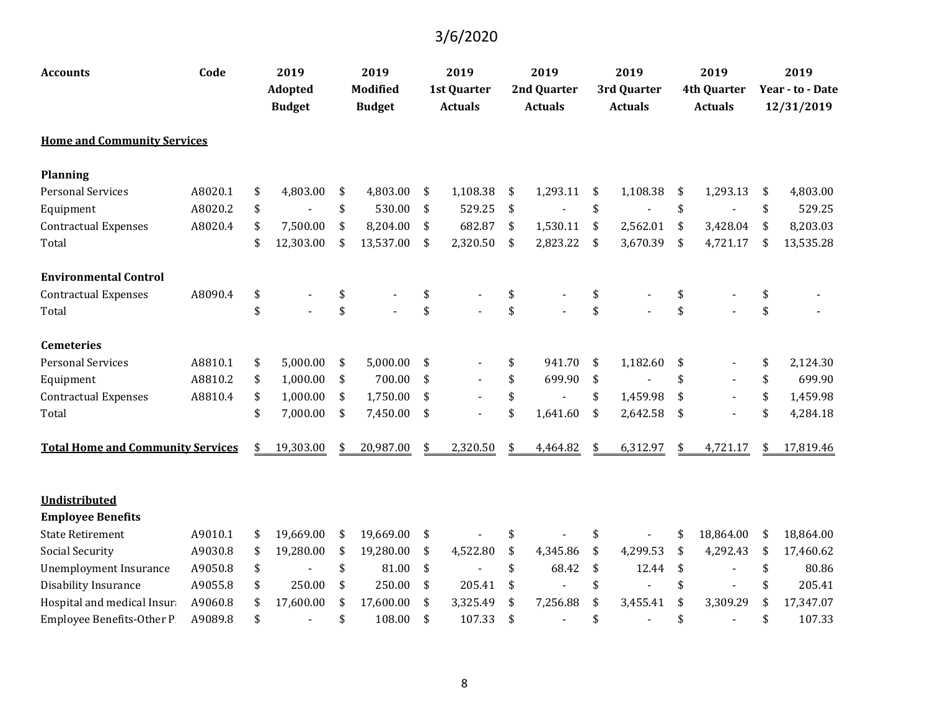| <b>Accounts</b>                          | Code    | 2019            | 2019            | 2019           | 2019           | 2019           | 2019               | 2019             |
|------------------------------------------|---------|-----------------|-----------------|----------------|----------------|----------------|--------------------|------------------|
|                                          |         | <b>Adopted</b>  | <b>Modified</b> | 1st Quarter    | 2nd Quarter    | 3rd Quarter    | <b>4th Quarter</b> | Year - to - Date |
|                                          |         | <b>Budget</b>   | <b>Budget</b>   | <b>Actuals</b> | <b>Actuals</b> | <b>Actuals</b> | <b>Actuals</b>     | 12/31/2019       |
| <b>Home and Community Services</b>       |         |                 |                 |                |                |                |                    |                  |
| <b>Planning</b>                          |         |                 |                 |                |                |                |                    |                  |
| <b>Personal Services</b>                 | A8020.1 | \$<br>4,803.00  | \$<br>4,803.00  | \$<br>1,108.38 | \$<br>1,293.11 | \$<br>1,108.38 | \$<br>1,293.13     | \$<br>4,803.00   |
| Equipment                                | A8020.2 | \$              | \$<br>530.00    | \$<br>529.25   | \$             | \$             | \$                 | \$<br>529.25     |
| <b>Contractual Expenses</b>              | A8020.4 | \$<br>7,500.00  | \$<br>8,204.00  | \$<br>682.87   | \$<br>1,530.11 | \$<br>2,562.01 | \$<br>3,428.04     | \$<br>8,203.03   |
| Total                                    |         | \$<br>12,303.00 | \$<br>13,537.00 | \$<br>2,320.50 | \$<br>2,823.22 | \$<br>3,670.39 | \$<br>4,721.17     | \$<br>13,535.28  |
| <b>Environmental Control</b>             |         |                 |                 |                |                |                |                    |                  |
| <b>Contractual Expenses</b>              | A8090.4 | \$              | \$              | \$             | \$             | \$             | \$                 | \$               |
| Total                                    |         | \$              | \$              | \$             | \$             | \$             | \$                 | \$               |
| <b>Cemeteries</b>                        |         |                 |                 |                |                |                |                    |                  |
| <b>Personal Services</b>                 | A8810.1 | \$<br>5,000.00  | \$<br>5,000.00  | \$             | \$<br>941.70   | \$<br>1,182.60 | \$                 | \$<br>2,124.30   |
| Equipment                                | A8810.2 | \$<br>1,000.00  | \$<br>700.00    | \$             | \$<br>699.90   | \$             | \$                 | \$<br>699.90     |
| <b>Contractual Expenses</b>              | A8810.4 | \$<br>1,000.00  | \$<br>1,750.00  | \$             | \$             | \$<br>1,459.98 | \$                 | \$<br>1,459.98   |
| Total                                    |         | \$<br>7,000.00  | \$<br>7,450.00  | \$             | \$<br>1,641.60 | \$<br>2,642.58 | \$                 | \$<br>4,284.18   |
| <b>Total Home and Community Services</b> |         | \$<br>19,303.00 | \$<br>20,987.00 | \$<br>2,320.50 | \$<br>4,464.82 | \$<br>6,312.97 | \$<br>4,721.17     | \$<br>17,819.46  |
| Undistributed                            |         |                 |                 |                |                |                |                    |                  |
| <b>Employee Benefits</b>                 |         |                 |                 |                |                |                |                    |                  |
| <b>State Retirement</b>                  | A9010.1 | \$<br>19,669.00 | \$<br>19,669.00 | \$             | \$             | \$             | \$<br>18,864.00    | \$<br>18,864.00  |
| <b>Social Security</b>                   | A9030.8 | \$<br>19,280.00 | \$<br>19,280.00 | \$<br>4,522.80 | \$<br>4,345.86 | \$<br>4,299.53 | \$<br>4,292.43     | \$<br>17,460.62  |
| <b>Unemployment Insurance</b>            | A9050.8 | \$              | \$<br>81.00     | \$             | \$<br>68.42    | \$<br>12.44    | \$                 | \$<br>80.86      |
| Disability Insurance                     | A9055.8 | \$<br>250.00    | \$<br>250.00    | \$<br>205.41   | \$             | \$             | \$                 | \$<br>205.41     |
| Hospital and medical Insura              | A9060.8 | \$<br>17,600.00 | \$<br>17,600.00 | \$<br>3,325.49 | \$<br>7,256.88 | \$<br>3,455.41 | \$<br>3,309.29     | \$<br>17,347.07  |
| <b>Employee Benefits-Other P</b>         | A9089.8 | \$              | \$<br>108.00    | \$<br>107.33   | \$             | \$             | \$                 | \$<br>107.33     |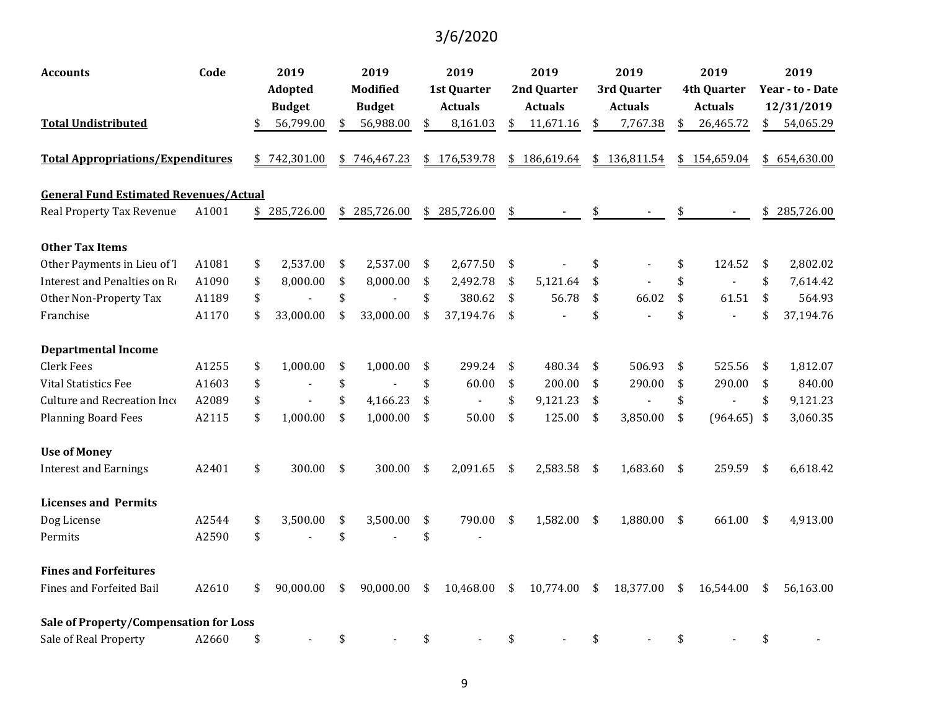| Accounts                                      | Code  | 2019             | 2019             | 2019               | 2019             | 2019             | 2019                 |     | 2019             |
|-----------------------------------------------|-------|------------------|------------------|--------------------|------------------|------------------|----------------------|-----|------------------|
|                                               |       | Adopted          | <b>Modified</b>  | <b>1st Quarter</b> | 2nd Quarter      | 3rd Quarter      | <b>4th Quarter</b>   |     | Year - to - Date |
|                                               |       | <b>Budget</b>    | <b>Budget</b>    | <b>Actuals</b>     | <b>Actuals</b>   | <b>Actuals</b>   | <b>Actuals</b>       |     | 12/31/2019       |
| <b>Total Undistributed</b>                    |       | \$<br>56,799.00  | \$<br>56,988.00  | \$<br>8,161.03     | \$<br>11,671.16  | \$<br>7,767.38   | \$<br>26,465.72      | \$  | 54,065.29        |
| <b>Total Appropriations/Expenditures</b>      |       | \$<br>742,301.00 | \$<br>746,467.23 | \$176,539.78       | \$<br>186,619.64 | \$<br>136,811.54 | \$<br>154,659.04     |     | \$654,630.00     |
| <b>General Fund Estimated Revenues/Actual</b> |       |                  |                  |                    |                  |                  |                      |     |                  |
| Real Property Tax Revenue                     | A1001 | \$<br>285,726.00 | \$<br>285,726.00 | \$<br>285,726.00   | \$               |                  |                      | \$  | 285,726.00       |
| <b>Other Tax Items</b>                        |       |                  |                  |                    |                  |                  |                      |     |                  |
| Other Payments in Lieu of 7                   | A1081 | \$<br>2,537.00   | \$<br>2,537.00   | \$<br>2,677.50     | \$               | \$               | \$<br>124.52         | \$  | 2,802.02         |
| Interest and Penalties on Ro                  | A1090 | \$<br>8,000.00   | \$<br>8,000.00   | \$<br>2,492.78     | \$<br>5,121.64   | \$               | \$<br>$\overline{a}$ | \$  | 7,614.42         |
| Other Non-Property Tax                        | A1189 | \$               | \$               | \$<br>380.62       | \$<br>56.78      | \$<br>66.02      | \$<br>61.51          | \$  | 564.93           |
| Franchise                                     | A1170 | \$<br>33,000.00  | \$<br>33,000.00  | \$<br>37,194.76    | \$               | \$               | \$                   | \$  | 37,194.76        |
| <b>Departmental Income</b>                    |       |                  |                  |                    |                  |                  |                      |     |                  |
| <b>Clerk Fees</b>                             | A1255 | \$<br>1,000.00   | \$<br>1,000.00   | \$<br>299.24       | \$<br>480.34     | \$<br>506.93     | \$<br>525.56         | \$  | 1,812.07         |
| <b>Vital Statistics Fee</b>                   | A1603 | \$               | \$               | \$<br>60.00        | \$<br>200.00     | \$<br>290.00     | \$<br>290.00         | \$  | 840.00           |
| Culture and Recreation Inco                   | A2089 | \$               | \$<br>4,166.23   | \$                 | \$<br>9,121.23   | \$               | \$                   | \$  | 9,121.23         |
| <b>Planning Board Fees</b>                    | A2115 | \$<br>1,000.00   | \$<br>1,000.00   | \$<br>50.00        | \$<br>125.00     | \$<br>3,850.00   | \$<br>$(964.65)$ \$  |     | 3,060.35         |
| <b>Use of Money</b>                           |       |                  |                  |                    |                  |                  |                      |     |                  |
| <b>Interest and Earnings</b>                  | A2401 | \$<br>300.00     | \$<br>300.00     | \$<br>2,091.65     | \$<br>2,583.58   | \$<br>1,683.60   | \$<br>259.59         | -\$ | 6,618.42         |
| <b>Licenses and Permits</b>                   |       |                  |                  |                    |                  |                  |                      |     |                  |
| Dog License                                   | A2544 | \$<br>3,500.00   | \$<br>3,500.00   | \$<br>790.00       | \$<br>1,582.00   | \$<br>1,880.00   | \$<br>661.00         | \$  | 4,913.00         |
| Permits                                       | A2590 | \$               | \$               | \$                 |                  |                  |                      |     |                  |
| <b>Fines and Forfeitures</b>                  |       |                  |                  |                    |                  |                  |                      |     |                  |
| <b>Fines and Forfeited Bail</b>               | A2610 | \$<br>90,000.00  | \$<br>90,000.00  | \$<br>10,468.00    | \$<br>10,774.00  | \$<br>18,377.00  | \$<br>16,544.00      | \$  | 56,163.00        |
| Sale of Property/Compensation for Loss        |       |                  |                  |                    |                  |                  |                      |     |                  |
| Sale of Real Property                         | A2660 | \$               | \$               | \$                 | \$               | \$               | \$                   | \$  |                  |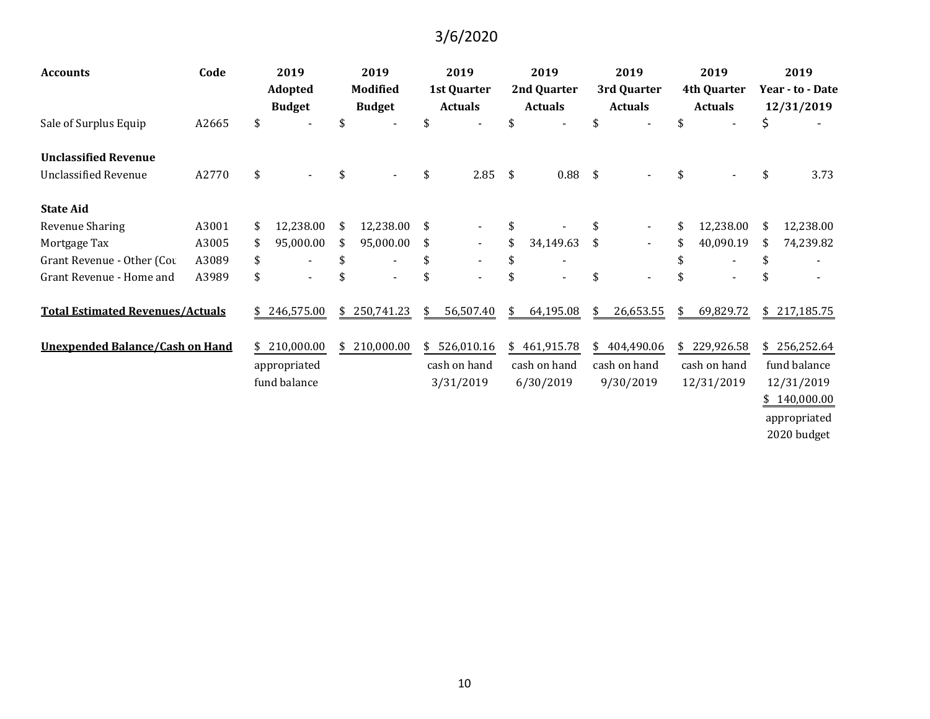| <b>Accounts</b>                         | Code  | 2019                           | 2019                             | 2019                                 |               | 2019                          |    | 2019                          | 2019                                 | 2019                           |
|-----------------------------------------|-------|--------------------------------|----------------------------------|--------------------------------------|---------------|-------------------------------|----|-------------------------------|--------------------------------------|--------------------------------|
|                                         |       | Adopted<br><b>Budget</b>       | <b>Modified</b><br><b>Budget</b> | <b>1st Quarter</b><br><b>Actuals</b> |               | 2nd Quarter<br><b>Actuals</b> |    | 3rd Quarter<br><b>Actuals</b> | <b>4th Quarter</b><br><b>Actuals</b> | Year - to - Date<br>12/31/2019 |
| Sale of Surplus Equip                   | A2665 | \$                             | \$                               |                                      | \$            |                               | \$ |                               | \$                                   | \$                             |
| <b>Unclassified Revenue</b>             |       |                                |                                  |                                      |               |                               |    |                               |                                      |                                |
| <b>Unclassified Revenue</b>             | A2770 | \$                             | \$                               | \$<br>2.85                           | $\frac{1}{2}$ | $0.88$ \$                     |    |                               | \$                                   | \$<br>3.73                     |
| <b>State Aid</b>                        |       |                                |                                  |                                      |               |                               |    |                               |                                      |                                |
| Revenue Sharing                         | A3001 | \$<br>12,238.00                | \$<br>12,238.00                  | \$                                   | \$            |                               |    |                               | 12,238.00                            | 12,238.00                      |
| Mortgage Tax                            | A3005 | \$<br>95,000.00                | 95,000.00                        | \$<br>$\blacksquare$                 | \$            | 34,149.63                     | \$ | $\sim$                        | 40,090.19                            | 74,239.82                      |
| Grant Revenue - Other (Cou              | A3089 | \$<br>$\overline{\phantom{a}}$ | \$                               | \$                                   | \$            |                               |    |                               | \$                                   | \$                             |
| Grant Revenue - Home and                | A3989 | \$                             |                                  |                                      | \$            |                               | \$ |                               |                                      | \$                             |
| <b>Total Estimated Revenues/Actuals</b> |       | 246,575.00                     | \$<br>250,741.23                 | \$<br>56,507.40                      | \$            | 64,195.08                     | S  | 26,653.55                     | \$<br>69,829.72                      | \$<br>217,185.75               |
| <b>Unexpended Balance/Cash on Hand</b>  |       | \$<br>210,000.00               | \$<br>210,000.00                 | \$<br>526,010.16                     | \$            | 461,915.78                    | \$ | 404,490.06                    | \$229,926.58                         | \$256,252.64                   |
|                                         |       | appropriated                   |                                  | cash on hand                         |               | cash on hand                  |    | cash on hand                  | cash on hand                         | fund balance                   |
|                                         |       | fund balance                   |                                  | 3/31/2019                            |               | 6/30/2019                     |    | 9/30/2019                     | 12/31/2019                           | 12/31/2019                     |
|                                         |       |                                |                                  |                                      |               |                               |    |                               |                                      | \$140,000.00                   |
|                                         |       |                                |                                  |                                      |               |                               |    |                               |                                      | appropriated                   |

2020 budget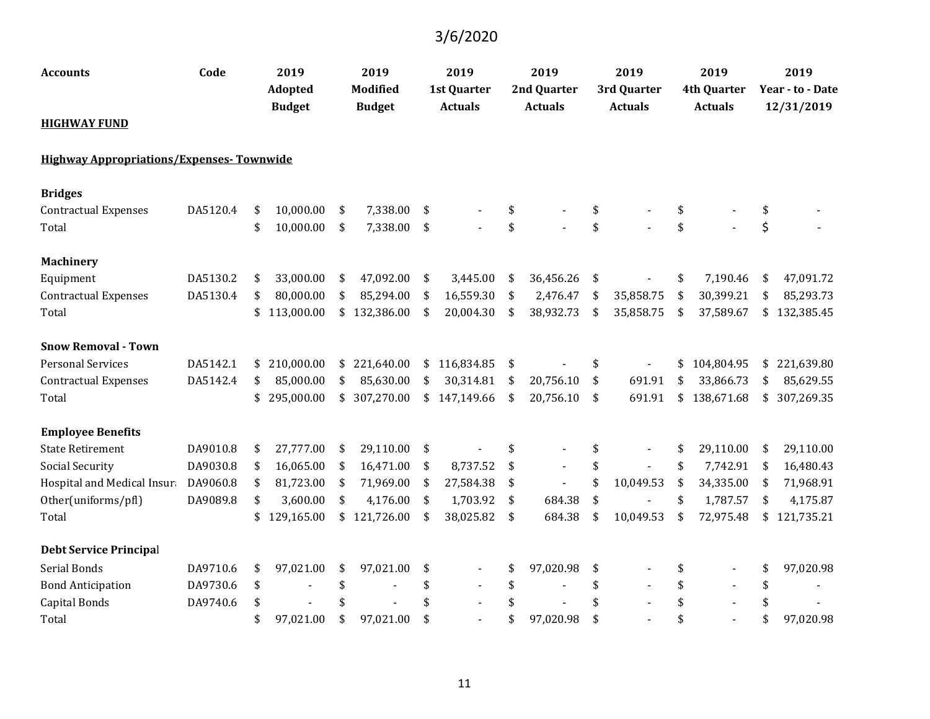| <b>Accounts</b>                                 | Code     | 2019<br>Adopted  | 2019<br><b>Modified</b> | 2019<br><b>1st Quarter</b> | 2019<br>2nd Quarter  | 2019<br>3rd Quarter | 2019<br><b>4th Quarter</b> | 2019<br>Year - to - Date |
|-------------------------------------------------|----------|------------------|-------------------------|----------------------------|----------------------|---------------------|----------------------------|--------------------------|
| <b>HIGHWAY FUND</b>                             |          | <b>Budget</b>    | <b>Budget</b>           | <b>Actuals</b>             | <b>Actuals</b>       | <b>Actuals</b>      | <b>Actuals</b>             | 12/31/2019               |
| <b>Highway Appropriations/Expenses-Townwide</b> |          |                  |                         |                            |                      |                     |                            |                          |
| <b>Bridges</b>                                  |          |                  |                         |                            |                      |                     |                            |                          |
| <b>Contractual Expenses</b>                     | DA5120.4 | \$<br>10,000.00  | \$<br>7,338.00          | \$                         | \$                   | \$                  | \$                         | \$                       |
| Total                                           |          | \$<br>10,000.00  | \$<br>7,338.00          | \$                         | \$                   | \$                  | \$                         | \$                       |
| <b>Machinery</b>                                |          |                  |                         |                            |                      |                     |                            |                          |
| Equipment                                       | DA5130.2 | \$<br>33,000.00  | \$<br>47,092.00         | \$<br>3,445.00             | \$<br>36,456.26      | \$                  | \$<br>7,190.46             | \$<br>47,091.72          |
| <b>Contractual Expenses</b>                     | DA5130.4 | \$<br>80,000.00  | \$<br>85,294.00         | \$<br>16,559.30            | \$<br>2,476.47       | \$<br>35,858.75     | \$<br>30,399.21            | \$<br>85,293.73          |
| Total                                           |          | \$<br>113,000.00 | \$<br>132,386.00        | \$<br>20,004.30            | \$<br>38,932.73      | \$<br>35,858.75     | \$<br>37,589.67            | \$<br>132,385.45         |
| <b>Snow Removal - Town</b>                      |          |                  |                         |                            |                      |                     |                            |                          |
| <b>Personal Services</b>                        | DA5142.1 | \$<br>210,000.00 | \$<br>221,640.00        | \$116,834.85               | \$                   | \$                  | \$<br>104,804.95           | \$<br>221,639.80         |
| <b>Contractual Expenses</b>                     | DA5142.4 | \$<br>85,000.00  | \$<br>85,630.00         | \$<br>30,314.81            | \$<br>20,756.10      | \$<br>691.91        | \$<br>33,866.73            | \$<br>85,629.55          |
| Total                                           |          | \$<br>295,000.00 | \$<br>307,270.00        | \$147,149.66               | \$<br>20,756.10      | \$<br>691.91        | \$<br>138,671.68           | \$<br>307,269.35         |
| <b>Employee Benefits</b>                        |          |                  |                         |                            |                      |                     |                            |                          |
| <b>State Retirement</b>                         | DA9010.8 | \$<br>27,777.00  | \$<br>29,110.00         | \$                         | \$                   | \$                  | \$<br>29,110.00            | \$<br>29,110.00          |
| Social Security                                 | DA9030.8 | \$<br>16,065.00  | \$<br>16,471.00         | \$<br>8,737.52             | \$<br>$\blacksquare$ | \$                  | \$<br>7,742.91             | \$<br>16,480.43          |
| Hospital and Medical Insura                     | DA9060.8 | \$<br>81,723.00  | \$<br>71,969.00         | \$<br>27,584.38            | \$<br>$\blacksquare$ | \$<br>10,049.53     | \$<br>34,335.00            | \$<br>71,968.91          |
| Other(uniforms/pfl)                             | DA9089.8 | \$<br>3,600.00   | \$<br>4,176.00          | \$<br>1,703.92             | \$<br>684.38         | \$                  | \$<br>1,787.57             | \$<br>4,175.87           |
| Total                                           |          | \$<br>129,165.00 | \$<br>121,726.00        | \$<br>38,025.82            | \$<br>684.38         | \$<br>10,049.53     | \$<br>72,975.48            | \$<br>121,735.21         |
| <b>Debt Service Principal</b>                   |          |                  |                         |                            |                      |                     |                            |                          |
| Serial Bonds                                    | DA9710.6 | \$<br>97,021.00  | \$<br>97,021.00         | \$                         | \$<br>97,020.98      | \$                  | \$                         | \$<br>97,020.98          |
| <b>Bond Anticipation</b>                        | DA9730.6 | \$               | \$                      | \$                         | \$                   | \$                  | \$                         | \$                       |
| <b>Capital Bonds</b>                            | DA9740.6 | \$               |                         |                            | \$                   | \$                  | \$                         | \$                       |
| Total                                           |          | \$<br>97,021.00  | \$<br>97,021.00         | \$                         | \$<br>97,020.98      | \$                  | \$                         | \$<br>97,020.98          |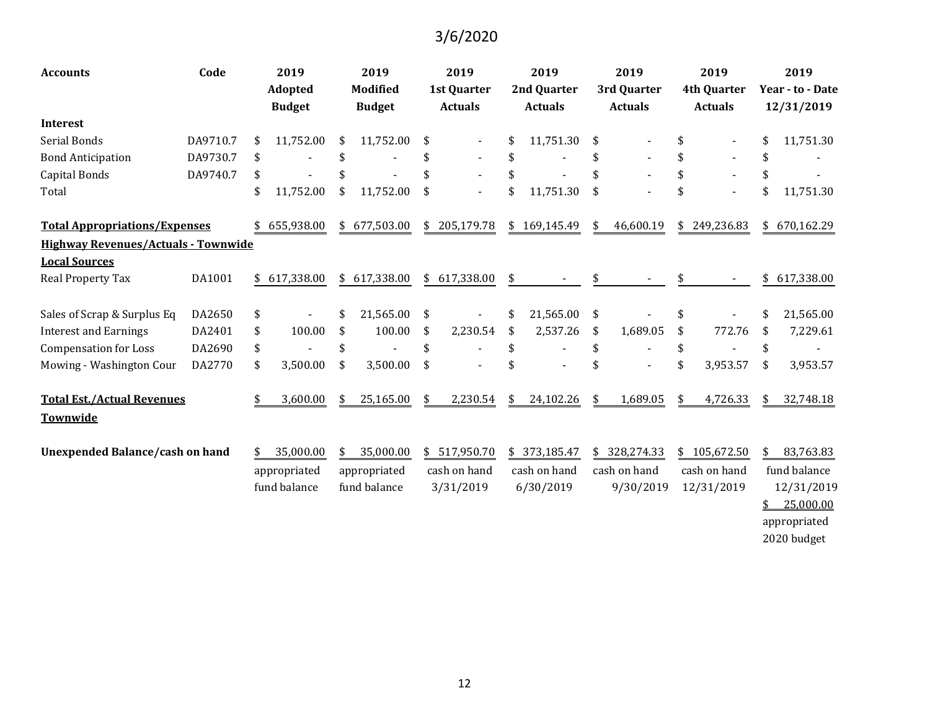| <b>Accounts</b>                            | Code     | 2019<br><b>Adopted</b><br><b>Budget</b> | 2019<br><b>Modified</b><br><b>Budget</b> | 2019<br>1st Quarter<br><b>Actuals</b> | 2019<br>2nd Quarter<br><b>Actuals</b> |    | 2019<br>3rd Quarter<br><b>Actuals</b> | 2019<br><b>4th Quarter</b><br><b>Actuals</b> | 2019<br>Year - to - Date<br>12/31/2019  |
|--------------------------------------------|----------|-----------------------------------------|------------------------------------------|---------------------------------------|---------------------------------------|----|---------------------------------------|----------------------------------------------|-----------------------------------------|
| <b>Interest</b>                            |          |                                         |                                          |                                       |                                       |    |                                       |                                              |                                         |
| Serial Bonds                               | DA9710.7 | \$<br>11,752.00                         | \$<br>11,752.00                          | \$                                    | 11,751.30                             | \$ |                                       | \$                                           | \$<br>11,751.30                         |
| <b>Bond Anticipation</b>                   | DA9730.7 | \$                                      |                                          |                                       | \$                                    |    |                                       | \$                                           | \$                                      |
| Capital Bonds                              | DA9740.7 | \$                                      |                                          |                                       |                                       |    |                                       | \$                                           | \$                                      |
| Total                                      |          | \$<br>11,752.00                         | \$<br>11,752.00                          | \$                                    | \$<br>11,751.30                       | \$ |                                       | \$                                           | \$<br>11,751.30                         |
| <b>Total Appropriations/Expenses</b>       |          | 655,938.00                              | \$<br>677,503.00                         | \$205,179.78                          | \$169,145.49                          | \$ | 46,600.19                             | \$249,236.83                                 | \$<br>670,162.29                        |
| <b>Highway Revenues/Actuals - Townwide</b> |          |                                         |                                          |                                       |                                       |    |                                       |                                              |                                         |
| <b>Local Sources</b>                       |          |                                         |                                          |                                       |                                       |    |                                       |                                              |                                         |
| Real Property Tax                          | DA1001   | \$<br>617,338.00                        | \$<br>617,338.00                         | \$<br>617,338.00                      | \$                                    | S  |                                       |                                              | \$<br>617,338.00                        |
| Sales of Scrap & Surplus Eq                | DA2650   | \$                                      | \$<br>21,565.00                          | \$                                    | \$<br>21,565.00                       | \$ |                                       | \$                                           | 21,565.00                               |
| <b>Interest and Earnings</b>               | DA2401   | \$<br>100.00                            | \$<br>100.00                             | \$<br>2,230.54                        | \$<br>2,537.26                        | \$ | 1,689.05                              | \$<br>772.76                                 | \$<br>7,229.61                          |
| <b>Compensation for Loss</b>               | DA2690   | \$                                      | \$                                       | \$                                    | \$                                    | \$ |                                       | \$                                           | \$                                      |
| Mowing - Washington Cour                   | DA2770   | \$<br>3,500.00                          | \$<br>3,500.00                           | \$                                    | \$                                    | \$ |                                       | \$<br>3,953.57                               | \$<br>3,953.57                          |
| <b>Total Est./Actual Revenues</b>          |          | \$<br>3,600.00                          | \$<br>25,165.00                          | \$<br>2,230.54                        | \$<br>24,102.26                       | \$ | 1,689.05                              | \$<br>4,726.33                               | \$<br>32,748.18                         |
| Townwide                                   |          |                                         |                                          |                                       |                                       |    |                                       |                                              |                                         |
| <b>Unexpended Balance/cash on hand</b>     |          | 35,000.00<br>appropriated               | \$<br>35,000.00<br>appropriated          | \$517,950.70<br>cash on hand          | \$ 373,185.47<br>cash on hand         |    | \$ 328,274.33<br>cash on hand         | \$105,672.50<br>cash on hand                 | \$<br>83,763.83<br>fund balance         |
|                                            |          | fund balance                            | fund balance                             | 3/31/2019                             | 6/30/2019                             |    | 9/30/2019                             | 12/31/2019                                   | 12/31/2019<br>25,000.00<br>appropriated |

2020 budget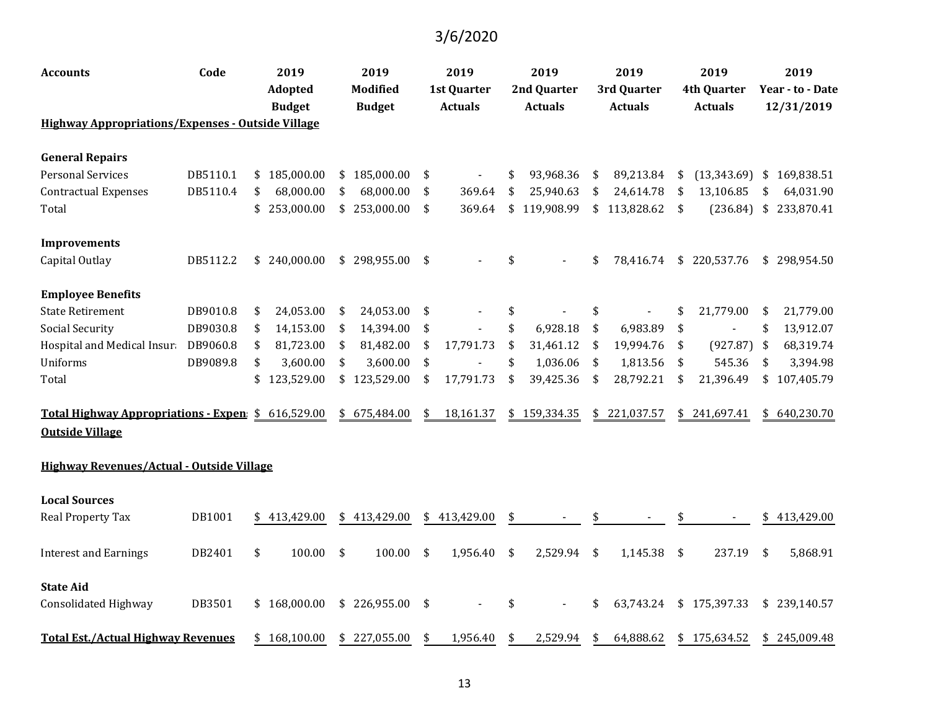| <b>Accounts</b>                                          | Code     | 2019<br><b>Adopted</b> |               | 2019<br>Modified |               | 2019<br><b>1st Quarter</b> |                | 2019<br>2nd Quarter |                | 2019<br>3rd Quarter |                |            | 2019<br><b>4th Quarter</b>  | 2019<br>Year - to - Date |              |  |
|----------------------------------------------------------|----------|------------------------|---------------|------------------|---------------|----------------------------|----------------|---------------------|----------------|---------------------|----------------|------------|-----------------------------|--------------------------|--------------|--|
|                                                          |          |                        | <b>Budget</b> |                  | <b>Budget</b> |                            | <b>Actuals</b> |                     | <b>Actuals</b> |                     | <b>Actuals</b> |            | <b>Actuals</b>              |                          | 12/31/2019   |  |
| <b>Highway Appropriations/Expenses - Outside Village</b> |          |                        |               |                  |               |                            |                |                     |                |                     |                |            |                             |                          |              |  |
| <b>General Repairs</b>                                   |          |                        |               |                  |               |                            |                |                     |                |                     |                |            |                             |                          |              |  |
| <b>Personal Services</b>                                 | DB5110.1 | \$                     | 185,000.00    | \$               | 185,000.00    | \$                         |                | \$                  | 93,968.36      | \$                  | 89,213.84      | \$         | $(13,343.69)$ \$ 169,838.51 |                          |              |  |
| <b>Contractual Expenses</b>                              | DB5110.4 | \$                     | 68,000.00     |                  | 68,000.00     | \$                         | 369.64         | \$                  | 25,940.63      | \$                  | 24,614.78      | \$         | 13,106.85                   | \$                       | 64,031.90    |  |
| Total                                                    |          | \$                     | 253,000.00    |                  | \$253,000.00  | \$                         | 369.64         | \$                  | 119,908.99     |                     | \$113,828.62   | \$         | $(236.84)$ \$               |                          | 233,870.41   |  |
| <b>Improvements</b>                                      |          |                        |               |                  |               |                            |                |                     |                |                     |                |            |                             |                          |              |  |
| Capital Outlay                                           | DB5112.2 | \$                     | 240,000.00    | \$               | 298,955.00    | \$                         |                | \$                  |                | \$                  | 78,416.74      | \$         | 220,537.76                  |                          | \$298,954.50 |  |
| <b>Employee Benefits</b>                                 |          |                        |               |                  |               |                            |                |                     |                |                     |                |            |                             |                          |              |  |
| <b>State Retirement</b>                                  | DB9010.8 | \$                     | 24,053.00     | \$               | 24,053.00     | \$                         |                | \$                  |                | \$                  |                | \$         | 21,779.00                   | \$                       | 21,779.00    |  |
| Social Security                                          | DB9030.8 | \$                     | 14,153.00     | \$               | 14,394.00     | \$                         |                | \$                  | 6,928.18       | \$                  | 6,983.89       | \$         |                             | \$                       | 13,912.07    |  |
| Hospital and Medical Insura                              | DB9060.8 | \$                     | 81,723.00     | \$               | 81,482.00     | \$                         | 17,791.73      | \$                  | 31,461.12      | \$                  | 19,994.76      | \$         | (927.87)                    | -\$                      | 68,319.74    |  |
| <b>Uniforms</b>                                          | DB9089.8 | \$                     | 3,600.00      | \$               | 3,600.00      | \$                         |                | \$                  | 1,036.06       | \$                  | 1,813.56       | \$         | 545.36                      | \$                       | 3,394.98     |  |
| Total                                                    |          | \$                     | 123,529.00    | \$               | 123,529.00    | \$                         | 17,791.73      | \$                  | 39,425.36      | \$                  | 28,792.21      | \$         | 21,396.49                   | \$                       | 107,405.79   |  |
| Total Highway Appropriations - Expen: \$                 |          |                        | 616,529.00    | \$               | 675,484.00    | \$                         | 18,161.37      | \$                  | 159,334.35     | \$                  | 221,037.57     | \$         | 241,697.41                  |                          | \$640,230.70 |  |
| <b>Outside Village</b>                                   |          |                        |               |                  |               |                            |                |                     |                |                     |                |            |                             |                          |              |  |
| Highway Revenues/Actual - Outside Village                |          |                        |               |                  |               |                            |                |                     |                |                     |                |            |                             |                          |              |  |
| <b>Local Sources</b>                                     |          |                        |               |                  |               |                            |                |                     |                |                     |                |            |                             |                          |              |  |
| Real Property Tax                                        | DB1001   | \$                     | 413,429.00    | \$               | 413,429.00    | \$                         | 413,429.00     | \$                  |                |                     |                |            |                             |                          | 413,429.00   |  |
| <b>Interest and Earnings</b>                             | DB2401   | \$                     | 100.00        | \$               | 100.00        | \$                         | 1,956.40       | \$                  | 2,529.94       | $\frac{1}{2}$       | 1,145.38       | $\sqrt{2}$ | 237.19                      | $\sqrt{5}$               | 5,868.91     |  |
| <b>State Aid</b>                                         |          |                        |               |                  |               |                            |                |                     |                |                     |                |            |                             |                          |              |  |
| Consolidated Highway                                     | DB3501   |                        | \$168,000.00  | \$               | 226,955.00    | \$                         |                | \$                  |                | \$                  | 63,743.24      |            | \$175,397.33                |                          | \$239,140.57 |  |
| <b>Total Est./Actual Highway Revenues</b>                |          | \$                     | 168,100.00    |                  | \$227,055.00  |                            | 1,956.40       | \$                  | 2,529.94       | \$                  | 64,888.62      |            | \$175,634.52                |                          | \$245,009.48 |  |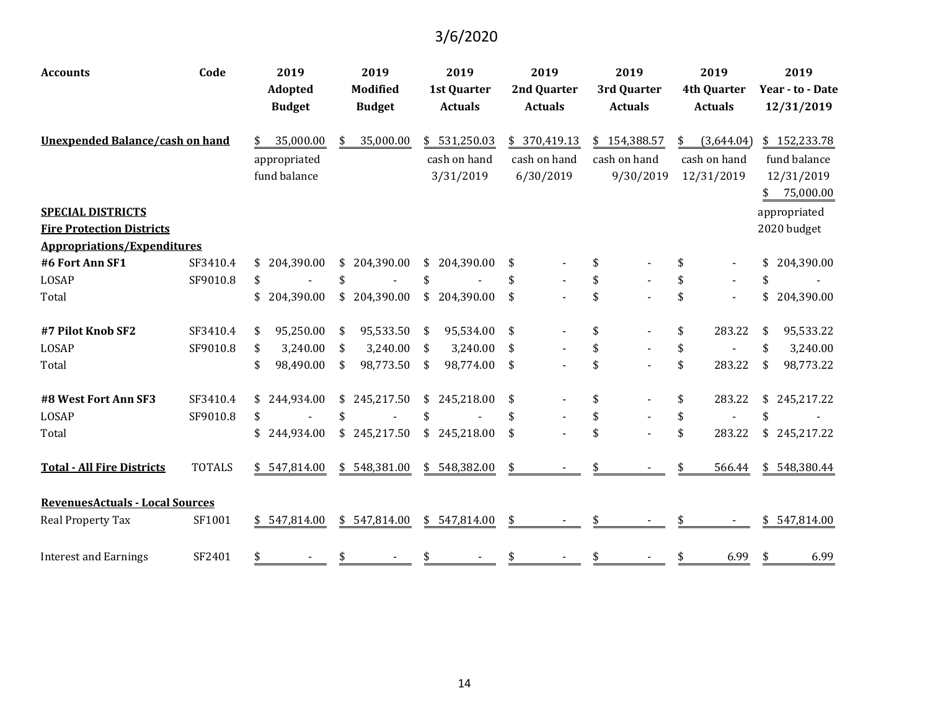| <b>Accounts</b>                        | Code          | 2019                     |    | 2019                             |    | 2019                                 |               | 2019                          |              | 2019                          |    | 2019                                 | 2019         |                                |  |
|----------------------------------------|---------------|--------------------------|----|----------------------------------|----|--------------------------------------|---------------|-------------------------------|--------------|-------------------------------|----|--------------------------------------|--------------|--------------------------------|--|
|                                        |               | Adopted<br><b>Budget</b> |    | <b>Modified</b><br><b>Budget</b> |    | <b>1st Quarter</b><br><b>Actuals</b> |               | 2nd Quarter<br><b>Actuals</b> |              | 3rd Quarter<br><b>Actuals</b> |    | <b>4th Quarter</b><br><b>Actuals</b> |              | Year - to - Date<br>12/31/2019 |  |
| <b>Unexpended Balance/cash on hand</b> |               | \$<br>35,000.00          |    | 35,000.00                        |    | \$531,250.03                         | \$ 370,419.13 |                               | \$154,388.57 |                               | \$ | (3,644.04)                           | \$152,233.78 |                                |  |
|                                        |               | appropriated             |    |                                  |    | cash on hand                         |               | cash on hand                  |              | cash on hand                  |    | cash on hand                         |              | fund balance                   |  |
|                                        |               | fund balance             |    |                                  |    | 3/31/2019                            |               | 6/30/2019                     |              | 9/30/2019                     |    | 12/31/2019                           |              | 12/31/2019                     |  |
|                                        |               |                          |    |                                  |    |                                      |               |                               |              |                               |    |                                      | \$           | 75,000.00                      |  |
| <b>SPECIAL DISTRICTS</b>               |               |                          |    |                                  |    |                                      |               |                               |              |                               |    |                                      |              | appropriated                   |  |
| <b>Fire Protection Districts</b>       |               |                          |    |                                  |    |                                      |               |                               |              |                               |    |                                      |              | 2020 budget                    |  |
| <b>Appropriations/Expenditures</b>     |               |                          |    |                                  |    |                                      |               |                               |              |                               |    |                                      |              |                                |  |
| #6 Fort Ann SF1                        | SF3410.4      | \$204,390.00             |    | \$204,390.00                     |    | \$204,390.00                         | \$            |                               | \$           |                               | \$ |                                      |              | \$204,390.00                   |  |
| LOSAP                                  | SF9010.8      | \$                       | \$ |                                  | \$ |                                      | \$            |                               | \$           |                               | \$ |                                      | \$           |                                |  |
| Total                                  |               | \$<br>204,390.00         | \$ | 204,390.00                       | \$ | 204,390.00                           | \$            |                               | \$           |                               | \$ | $\blacksquare$                       | \$           | 204,390.00                     |  |
| #7 Pilot Knob SF2                      | SF3410.4      | \$<br>95,250.00          | \$ | 95,533.50                        | \$ | 95,534.00                            | \$            |                               | \$           |                               | \$ | 283.22                               | \$           | 95,533.22                      |  |
| LOSAP                                  | SF9010.8      | \$<br>3,240.00           | \$ | 3,240.00                         | \$ | 3,240.00                             | \$            |                               | \$           |                               | \$ |                                      | \$           | 3,240.00                       |  |
| Total                                  |               | \$<br>98,490.00          | \$ | 98,773.50                        | \$ | 98,774.00                            | \$            |                               | \$           |                               | \$ | 283.22                               | \$           | 98,773.22                      |  |
| #8 West Fort Ann SF3                   | SF3410.4      | \$<br>244,934.00         | \$ | 245,217.50                       | \$ | 245,218.00                           | \$            |                               | \$           |                               | \$ | 283.22                               | \$           | 245,217.22                     |  |
| LOSAP                                  | SF9010.8      | \$                       |    |                                  |    |                                      | \$            |                               | \$           |                               | \$ |                                      | \$           |                                |  |
| Total                                  |               | 244,934.00               | \$ | 245,217.50                       | \$ | 245,218.00                           | \$            |                               | \$           |                               | \$ | 283.22                               |              | \$245,217.22                   |  |
| <b>Total - All Fire Districts</b>      | <b>TOTALS</b> | \$547,814.00             | \$ | 548,381.00                       | \$ | 548,382.00                           | \$            |                               |              |                               | \$ | 566.44                               | \$           | 548,380.44                     |  |
| <b>RevenuesActuals - Local Sources</b> |               |                          |    |                                  |    |                                      |               |                               |              |                               |    |                                      |              |                                |  |
| Real Property Tax                      | SF1001        | \$547,814.00             |    | \$547,814.00                     |    | \$547,814.00                         | \$            |                               |              |                               |    |                                      |              | \$547,814.00                   |  |
| <b>Interest and Earnings</b>           | SF2401        | \$                       | S  |                                  |    |                                      |               |                               | \$           |                               | \$ | 6.99                                 | \$           | 6.99                           |  |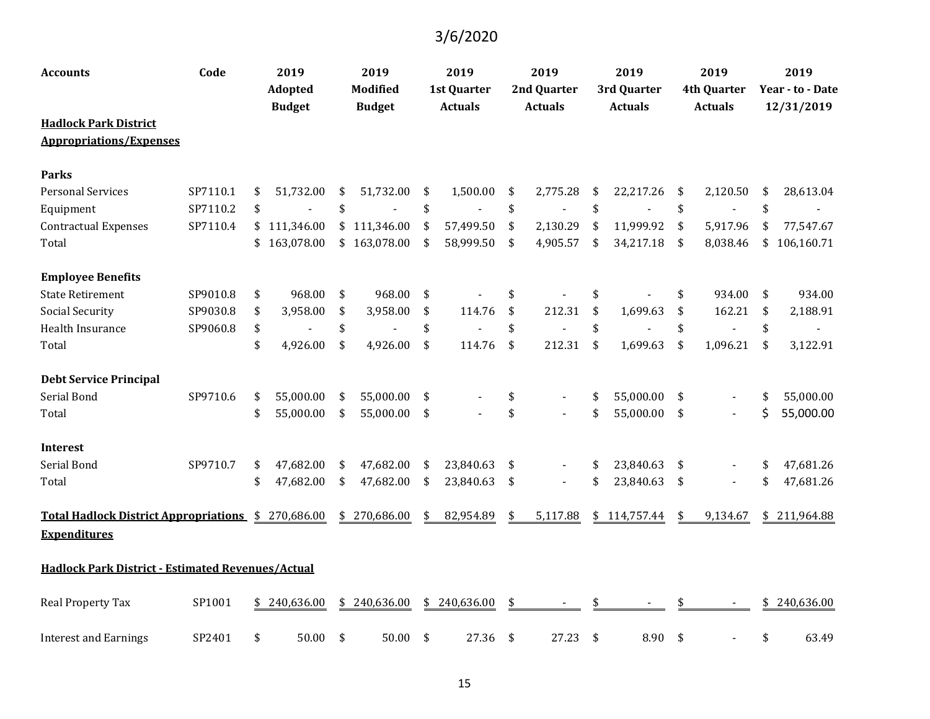| Accounts                                                 | Code     | 2019<br><b>Adopted</b><br><b>Budget</b> |            | 2019<br><b>Modified</b><br><b>Budget</b> |              | 2019<br>1st Quarter<br><b>Actuals</b> |            | 2019<br>2nd Quarter |                |                | 2019<br>3rd Quarter |    | 2019<br><b>4th Quarter</b> |            | 2019<br>Year - to - Date |  |
|----------------------------------------------------------|----------|-----------------------------------------|------------|------------------------------------------|--------------|---------------------------------------|------------|---------------------|----------------|----------------|---------------------|----|----------------------------|------------|--------------------------|--|
|                                                          |          |                                         |            |                                          |              |                                       |            | <b>Actuals</b>      |                | <b>Actuals</b> |                     |    | <b>Actuals</b>             | 12/31/2019 |                          |  |
| <b>Hadlock Park District</b>                             |          |                                         |            |                                          |              |                                       |            |                     |                |                |                     |    |                            |            |                          |  |
| <b>Appropriations/Expenses</b>                           |          |                                         |            |                                          |              |                                       |            |                     |                |                |                     |    |                            |            |                          |  |
| <b>Parks</b>                                             |          |                                         |            |                                          |              |                                       |            |                     |                |                |                     |    |                            |            |                          |  |
| <b>Personal Services</b>                                 | SP7110.1 | \$                                      | 51,732.00  | \$                                       | 51,732.00    | \$                                    | 1,500.00   | \$                  | 2,775.28       | \$             | 22,217.26           | \$ | 2,120.50                   | \$         | 28,613.04                |  |
| Equipment                                                | SP7110.2 | \$                                      |            | \$                                       |              | $\boldsymbol{\$}$                     |            | \$                  |                | \$             |                     | \$ | $\blacksquare$             | \$         | $\blacksquare$           |  |
| <b>Contractual Expenses</b>                              | SP7110.4 | \$                                      | 111,346.00 | \$                                       | 111,346.00   | \$                                    | 57,499.50  | \$                  | 2,130.29       | \$             | 11,999.92           | \$ | 5,917.96                   | \$         | 77,547.67                |  |
| Total                                                    |          | \$                                      | 163,078.00 |                                          | \$163,078.00 | \$                                    | 58,999.50  | \$                  | 4,905.57       | \$             | 34,217.18           | \$ | 8,038.46                   | \$         | 106,160.71               |  |
| <b>Employee Benefits</b>                                 |          |                                         |            |                                          |              |                                       |            |                     |                |                |                     |    |                            |            |                          |  |
| <b>State Retirement</b>                                  | SP9010.8 | \$                                      | 968.00     | \$                                       | 968.00       | \$                                    |            | \$                  |                | \$             |                     | \$ | 934.00                     | \$         | 934.00                   |  |
| Social Security                                          | SP9030.8 | \$                                      | 3,958.00   | \$                                       | 3,958.00     | \$                                    | 114.76     | \$                  | 212.31         | \$             | 1,699.63            | \$ | 162.21                     | \$         | 2,188.91                 |  |
| Health Insurance                                         | SP9060.8 | \$                                      |            | \$                                       |              | \$                                    |            | \$                  |                | \$             |                     | \$ | $\blacksquare$             | \$         |                          |  |
| Total                                                    |          | \$                                      | 4,926.00   | \$                                       | 4,926.00     | \$                                    | 114.76     | \$                  | 212.31         | \$             | 1,699.63            | \$ | 1,096.21                   | \$         | 3,122.91                 |  |
| <b>Debt Service Principal</b>                            |          |                                         |            |                                          |              |                                       |            |                     |                |                |                     |    |                            |            |                          |  |
| Serial Bond                                              | SP9710.6 | \$                                      | 55,000.00  | \$                                       | 55,000.00    | \$                                    |            | \$                  |                | \$             | 55,000.00           | \$ |                            | \$         | 55,000.00                |  |
| Total                                                    |          | \$                                      | 55,000.00  | \$                                       | 55,000.00    | \$                                    |            | \$                  |                | \$             | 55,000.00           | \$ | $\blacksquare$             | \$         | 55,000.00                |  |
| <b>Interest</b>                                          |          |                                         |            |                                          |              |                                       |            |                     |                |                |                     |    |                            |            |                          |  |
| Serial Bond                                              | SP9710.7 | \$                                      | 47,682.00  | \$                                       | 47,682.00    | \$                                    | 23,840.63  | \$                  | $\blacksquare$ | \$             | 23,840.63           | \$ |                            | \$         | 47,681.26                |  |
| Total                                                    |          | \$                                      | 47,682.00  | \$                                       | 47,682.00    | \$                                    | 23,840.63  | \$                  | $\blacksquare$ | \$             | 23,840.63           | \$ | $\blacksquare$             | \$         | 47,681.26                |  |
| <b>Total Hadlock District Appropriations</b> \$          |          |                                         | 270,686.00 | \$                                       | 270,686.00   | \$                                    | 82,954.89  | \$                  | 5,117.88       | \$             | 114,757.44          | \$ | 9,134.67                   |            | \$211,964.88             |  |
| <b>Expenditures</b>                                      |          |                                         |            |                                          |              |                                       |            |                     |                |                |                     |    |                            |            |                          |  |
| <b>Hadlock Park District - Estimated Revenues/Actual</b> |          |                                         |            |                                          |              |                                       |            |                     |                |                |                     |    |                            |            |                          |  |
| Real Property Tax                                        | SP1001   | \$                                      | 240,636.00 | \$                                       | 240,636.00   | \$                                    | 240,636.00 | \$                  |                | \$             |                     | \$ |                            | \$         | 240,636.00               |  |
| <b>Interest and Earnings</b>                             | SP2401   | \$                                      | 50.00      | \$                                       | 50.00        | \$                                    | 27.36      | -\$                 | 27.23          | $\frac{1}{2}$  | 8.90                | \$ |                            | \$         | 63.49                    |  |